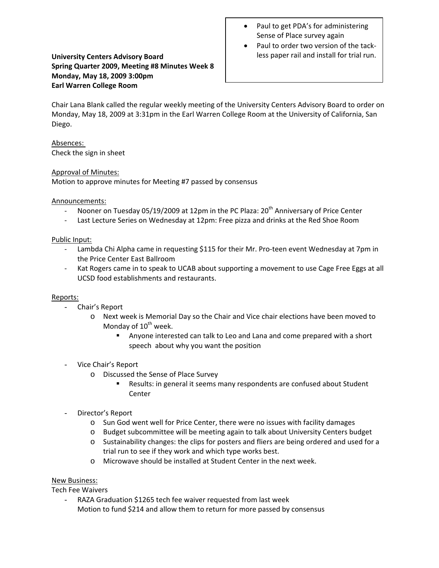# **University Centers Advisory Board Spring Quarter 2009, Meeting #8 Minutes Week 8 Monday, May 18, 2009 3:00pm Earl Warren College Room**

- Paul to get PDA's for administering Sense of Place survey again
- Paul to order two version of the tack‐ less paper rail and install for trial run.

Chair Lana Blank called the regular weekly meeting of the University Centers Advisory Board to order on Monday, May 18, 2009 at 3:31pm in the Earl Warren College Room at the University of California, San Diego.

Absences: Check the sign in sheet

# Approval of Minutes:

Motion to approve minutes for Meeting #7 passed by consensus

# Announcements:

- Nooner on Tuesday 05/19/2009 at 12pm in the PC Plaza: 20<sup>th</sup> Anniversary of Price Center
- ‐ Last Lecture Series on Wednesday at 12pm: Free pizza and drinks at the Red Shoe Room

### Public Input:

- Lambda Chi Alpha came in requesting \$115 for their Mr. Pro-teen event Wednesday at 7pm in the Price Center East Ballroom
- Kat Rogers came in to speak to UCAB about supporting a movement to use Cage Free Eggs at all UCSD food establishments and restaurants.

### Reports:

- Chair's Report
	- o Next week is Memorial Day so the Chair and Vice chair elections have been moved to Monday of  $10^{th}$  week.
		- Anyone interested can talk to Leo and Lana and come prepared with a short speech about why you want the position
- Vice Chair's Report
	- o Discussed the Sense of Place Survey
		- Results: in general it seems many respondents are confused about Student Center
- Director's Report
	- o Sun God went well for Price Center, there were no issues with facility damages
	- o Budget subcommittee will be meeting again to talk about University Centers budget
	- o Sustainability changes: the clips for posters and fliers are being ordered and used for a trial run to see if they work and which type works best.
	- o Microwave should be installed at Student Center in the next week.

### New Business:

Tech Fee Waivers

RAZA Graduation \$1265 tech fee waiver requested from last week Motion to fund \$214 and allow them to return for more passed by consensus